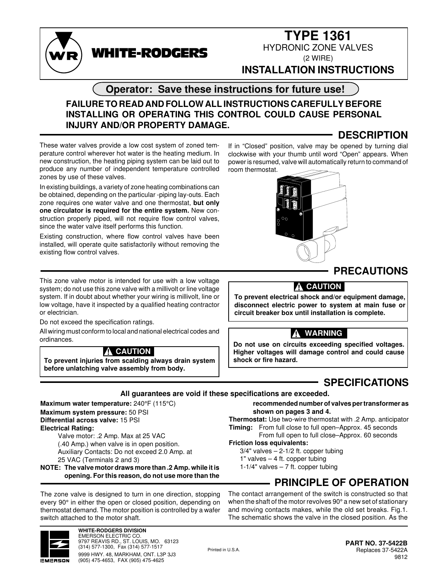

# **TYPE 1361**

HYDRONIC ZONE VALVES (2 WIRE)

### **INSTALLATION INSTRUCTIONS**

If in "Closed" position, valve may be opened by turning dial clockwise with your thumb until word "Open" appears. When power is resumed, valve will automatically return to command of

### **Operator: Save these instructions for future use!**

### **FAILURE TO READ AND FOLLOW ALL INSTRUCTIONS CAREFULLY BEFORE INSTALLING OR OPERATING THIS CONTROL COULD CAUSE PERSONAL INJURY AND/OR PROPERTY DAMAGE.**

## **DESCRIPTION**

These water valves provide a low cost system of zoned temperature control wherever hot water is the heating medium. In new construction, the heating piping system can be laid out to produce any number of independent temperature controlled zones by use of these valves.

WHITE-RODGERS

In existing buildings, a variety of zone heating combinations can be obtained, depending on the particular -piping lay-outs. Each zone requires one water valve and one thermostat, **but only one circulator is required for the entire system.** New construction properly piped, will not require flow control valves, since the water valve itself performs this function.

Existing construction, where flow control valves have been installed, will operate quite satisfactorily without removing the existing flow control valves.

room thermostat. OΩ

This zone valve motor is intended for use with a low voltage system; do not use this zone valve with a millivolt or line voltage system. If in doubt about whether your wiring is millivolt, line or low voltage, have it inspected by a qualified heating contractor or electrician.

Do not exceed the specification ratings.

All wiring must conform to local and national electrical codes and ordinances.

### **! CAUTION**

**To prevent injuries from scalding always drain system before unlatching valve assembly from body.**

**PRECAUTIONS**

### **! CAUTION**

**To prevent electrical shock and/or equipment damage, disconnect electric power to system at main fuse or circuit breaker box until installation is complete.**

### **! WARNING**

**Do not use on circuits exceeding specified voltages. Higher voltages will damage control and could cause shock or fire hazard.**

## **SPECIFICATIONS**

**All guarantees are void if these specifications are exceeded.**

**Maximum water temperature:** 240°F (115°C) **Maximum system pressure:** 50 PSI **Differential across valve:** 15 PSI **Electrical Rating:** Valve motor: .2 Amp. Max at 25 VAC

(.40 Amp.) when valve is in open position. Auxiliary Contacts: Do not exceed 2.0 Amp. at 25 VAC (Terminals 2 and 3)

**NOTE: The valve motor draws more than .2 Amp. while it is opening. For this reason, do not use more than the**

The zone valve is designed to turn in one direction, stopping every 90° in either the open or closed position, depending on thermostat demand. The motor position is controlled by a wafer switch attached to the motor shaft.



**WHITE-RODGERS DIVISION** EMERSON ELECTRIC CO. 9797 REAVIS RD., ST. LOUIS, MO. 63123 (314) 577-1300, Fax (314) 577-1517 9999 HWY. 48, MARKHAM, ONT. L3P 3J3 (905) 475-4653, FAX (905) 475-4625

**recommended number of valves per transformer as shown on pages 3 and 4.**

**Thermostat:** Use two-wire thermostat with .2 Amp. anticipator **Timing:** From full close to full open–Approx. 45 seconds

### From full open to full close–Approx. 60 seconds

**Friction loss equivalents:**

 $3/4"$  valves  $- 2-1/2$  ft. copper tubing 1" valves – 4 ft. copper tubing  $1-1/4"$  valves  $-7$  ft. copper tubing

## **PRINCIPLE OF OPERATION**

The contact arrangement of the switch is constructed so that when the shaft of the motor revolves 90° a new set of stationary and moving contacts makes, while the old set breaks. Fig.1. The schematic shows the valve in the closed position. As the

Printed in U.S.A.

**PART NO. 37-5422B** Replaces 37-5422A 9812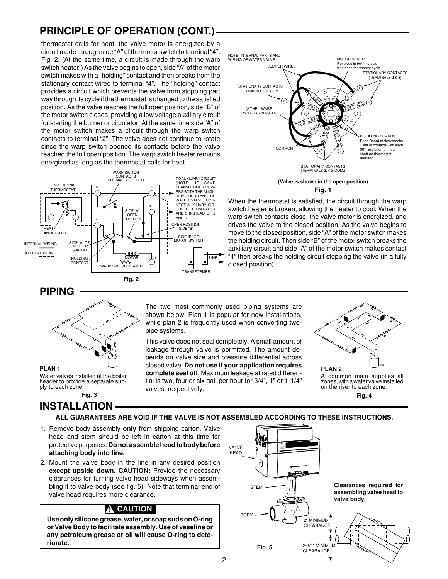## **PRINCIPLE OF OPERATION (CONT.)**

thermostat calls for heat, the valve motor is energized by a circuit made through side "A" of the motor switch to terminal "4". Fig. 2. (At the same time, a circuit is made through the warp switch heater.) As the valve begins to open, side "A" of the motor switch makes with a "holding" contact and then breaks from the stationary contact wired to terminal "4". The "holding" contact provides a circuit which prevents the valve from stopping part way through its cycle if the thermostat is changed to the satisfied position. As the valve reaches the full open position, side "B" of the motor switch closes, providing a low voltage auxiliary circuit for starting the burner or circulator. At the same time side "A" of the motor switch makes a circuit through the warp switch contacts to terminal "2". The valve does not continue to rotate since the warp switch opened its contacts before the valve reached the full open position. The warp switch heater remains energized as long as the thermostat calls for heat.





**(Valve is shown in the open position) Fig. 1**

When the thermostat is satisfied, the circuit through the warp switch heater is broken, allowing the heater to cool. When the warp switch contacts close, the valve motor is energized, and drives the valve to the closed position. As the valve begins to move to the closed position, side "A" of the motor switch makes the holding circuit. Then side "B" of the motor switch breaks the auxiliary circuit and side "A" of the motor switch makes contact "4" then breaks the holding circuit stopping the valve (in a fully closed position).

**PIPING**



**PLAN 1** Water valves installed at the boiler header to provide a separate supply to each zone.

**INSTALLATION Fig. 3 Fig. 4**

The two most commonly used piping systems are shown below. Plan 1 is popular for new installations, while plan 2 is frequently used when converting twopipe systems.

This valve does not seal completely. A small amount of leakage through valve is permitted. The amount depends on valve size and pressure differential across closed valve. **Do not use if your application requires complete seal off.** Maximum leakage at rated differential is two, four or six gal. per hour for 3/4", 1" or 1-1/4" valves, respectively.







#### **ALL GUARANTEES ARE VOID IF THE VALVE IS NOT ASSEMBLED ACCORDING TO THESE INSTRUCTIONS.**

- 1. Remove body assembly **only** from shipping carton. Valve head and stem should be left in carton at this time for protective purposes. **Do not assemble head to body before attaching body into line.**
- 2. Mount the valve body in the line in any desired position **except upside down. CAUTION:** Provide the necessary clearances for turning valve head sideways when assembling it to valve body (see fig. 5). Note that terminal end of valve head requires more clearance.

### **! CAUTION**

**Use only silicone grease, water, or soap suds on O-ring or Valve Body to facilitate assembly. Use of vaseline or any petroleum grease or oil will cause O-ring to deteriorate.**

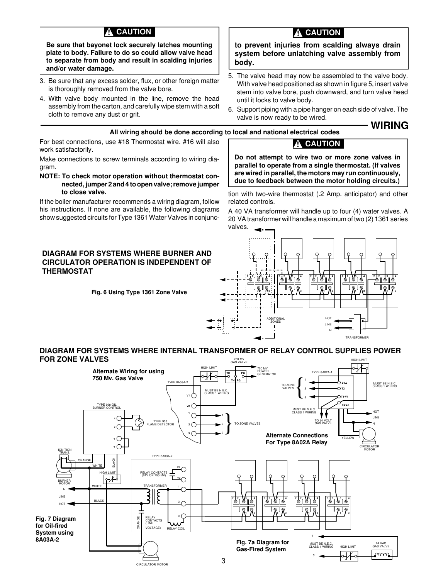### **! CAUTION**

**Be sure that bayonet lock securely latches mounting plate to body. Failure to do so could allow valve head to separate from body and result in scalding injuries and/or water damage.**

- 3. Be sure that any excess solder, flux, or other foreign matter is thoroughly removed from the valve bore.
- 4. With valve body mounted in the line, remove the head assembly from the carton, and carefully wipe stem with a soft cloth to remove any dust or grit.

For best connections, use #18 Thermostat wire. #16 will also

Make connections to screw terminals according to wiring dia-

**NOTE: To check motor operation without thermostat connected, jumper 2 and 4 to open valve; remove jumper**

If the boiler manufacturer recommends a wiring diagram, follow his instructions. If none are available, the following diagrams show suggested circuits for Type 1361 Water Valves in conjunc-

work satisfactorily.

**to close valve.**

gram.

### **! CAUTION**

**to prevent injuries from scalding always drain system before unlatching valve assembly from body.**

- 5. The valve head may now be assembled to the valve body. With valve head positioned as shown in figure 5, insert valve stem into valve bore, push downward, and turn valve head until it locks to valve body.
- 6. Support piping with a pipe hanger on each side of valve. The valve is now ready to be wired.

**WIRING**

#### **All wiring should be done according to local and national electrical codes**

#### **! CAUTION**

**Do not attempt to wire two or more zone valves in parallel to operate from a single thermostat. (If valves are wired in parallel, the motors may run continuously, due to feedback between the motor holding circuits.)**

tion with two-wire thermostat (.2 Amp. anticipator) and other related controls.

A 40 VA transformer will handle up to four (4) water valves. A 20 VA transformer will handle a maximum of two (2) 1361 series valves.



**DIAGRAM FOR SYSTEMS WHERE BURNER AND CIRCULATOR OPERATION IS INDEPENDENT OF THERMOSTAT**

**Fig. 6 Using Type 1361 Zone Valve**

**DIAGRAM FOR SYSTEMS WHERE INTERNAL TRANSFORMER OF RELAY CONTROL SUPPLIES POWER FOR ZONE VALVES** HIGH LIMIT